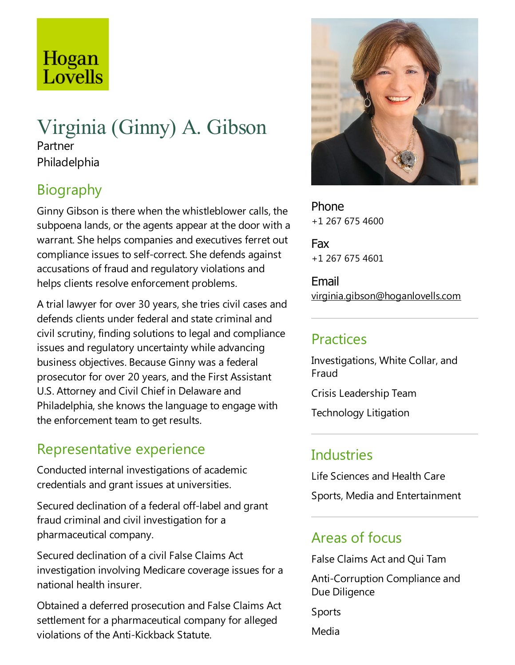# Hogan Lovells

### Virginia (Ginny) A. Gibson Partner

Philadelphia

## Biography

Ginny Gibson is there when the whistleblower calls, the subpoena lands, or the agents appear at the door with a warrant. She helps companies and executives ferret out compliance issues to self-correct. She defends against accusations of fraud and regulatory violations and helps clients resolve enforcement problems.

A trial lawyer for over 30 years, she tries civil cases and defends clients under federal and state criminal and civil scrutiny, finding solutions to legal and compliance issues and regulatory uncertainty while advancing business objectives. Because Ginny was afederal prosecutor for over 20 years, and the First Assistant U.S. Attorney and Civil Chief in Delaware and Philadelphia, she knows the language to engage with the enforcement team to get results.

### Representative experience

Conducted internal investigations of academic credentials and grant issues at universities.

Secured declination of a federal off-label and grant fraud criminal and civil investigation for a pharmaceutical company.

Secured declination of a civil False Claims Act investigation involving Medicare coverage issues for a national health insurer.

Obtained a deferred prosecution and False Claims Act settlement for a pharmaceutical company for alleged violations of the Anti-Kickback Statute.



Phone +1 267 675 4600

Fax +1 267 675 4601

Email virginia.gibson@hoganlovells.com

### Practices

Investigations, White Collar, and Fraud

Crisis Leadership Team

Technology Litigation

## Industries

Life Sciences and Health Care Sports, Media and Entertainment

### Areas of focus

False Claims Act and Qui Tam

Anti-Corruption Compliance and Due Diligence

Sports

Media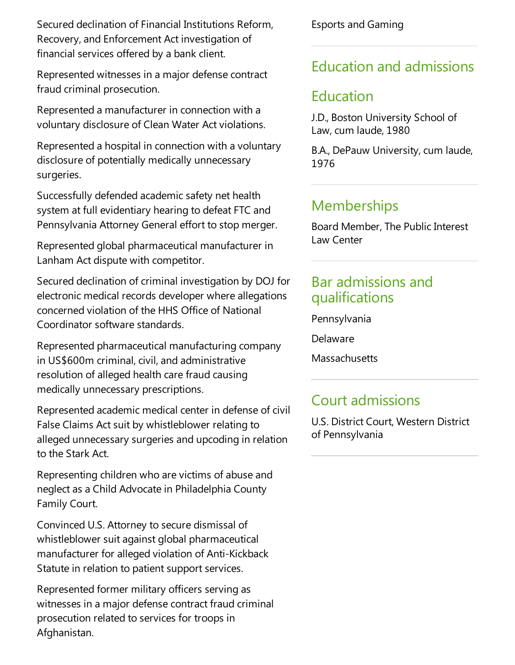Secured declination of Financial Institutions Reform, Recovery, and Enforcement Act investigation of financial services offered by a bank client.

Represented witnesses in a major defense contract fraud criminal prosecution.

Represented a manufacturer in connection with a voluntary disclosure of Clean Water Act violations.

Represented a hospital in connection with a voluntary disclosure of potentially medically unnecessary surgeries.

Successfully defended academic safety net health system at full evidentiary hearing to defeat FTC and Pennsylvania Attorney General effort to stop merger.

Represented global pharmaceutical manufacturer in Lanham Act dispute with competitor.

Secured declination of criminal investigation by DOJ for electronic medical records developer where allegations concerned violation of the HHS Office of National Coordinator software standards.

Represented pharmaceutical manufacturing company in US\$600m criminal, civil, and administrative resolution of alleged health care fraud causing medically unnecessary prescriptions.

Represented academic medical center in defense of civil False Claims Act suit by whistleblower relating to alleged unnecessary surgeries and upcoding in relation to the Stark Act.

Representing children who are victims of abuse and neglect as a Child Advocate in Philadelphia County Family Court.

Convinced U.S. Attorney to secure dismissal of whistleblower suit against global pharmaceutical manufacturer for alleged violation of Anti-Kickback Statute in relation to patient support services.

Represented former military officers serving as witnesses in a major defense contract fraud criminal prosecution related to services for troops in Afghanistan.

Esports and Gaming

### Education and admissions

### Education

J.D., Boston University School of Law, cum laude, 1980

B.A., DePauw University, cum laude, 1976

## **Memberships**

Board Member, The Public Interest Law Center

#### Bar admissions and qualifications

Pennsylvania

Delaware

**Massachusetts** 

### Court admissions

U.S. District Court, Western District of Pennsylvania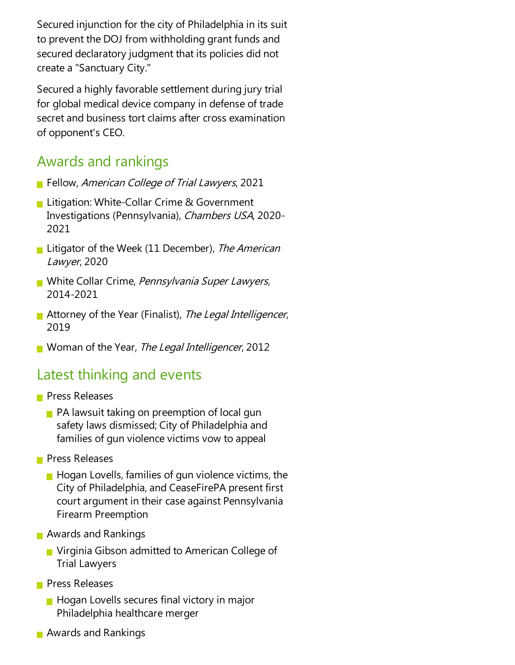Secured injunction for the city of Philadelphia in its suit to prevent the DOJ from withholding grant funds and secured declaratory judgment that its policies did not createa"Sanctuary City."

Secured a highly favorable settlement during jury trial for global medical device company in defense of trade secret and business tort claims after cross examination of opponent's CEO.

#### Awards and rankings

- **Fellow, American College of Trial Lawyers, 2021**
- **Litigation: White-Collar Crime & Government** Investigations (Pennsylvania), Chambers USA, 2020- 2021
- **Litigator of the Week (11 December), The American** Lawyer, 2020
- White Collar Crime, *Pennsylvania Super Lawyers*, 2014-2021
- Attorney of the Year (Finalist), The Legal Intelligencer, 2019
- Woman of the Year, The Legal Intelligencer, 2012

#### Latest thinking and events

- **Press Releases** 
	- $\blacksquare$  PA lawsuit taking on preemption of local gun safety laws dismissed; City of Philadelphia and families of gun violence victims vow to appeal
- **Press Releases** 
	- $\blacksquare$  Hogan Lovells, families of gun violence victims, the City of Philadelphia, and CeaseFirePA present first court argument in their case against Pennsylvania Firearm Preemption
- **Awards and Rankings** 
	- **Nituman** Virginia Gibson admitted to American College of Trial Lawyers
- **Press Releases** 
	- $\blacksquare$  Hogan Lovells secures final victory in major Philadelphia healthcare merger
- **Awards and Rankings**